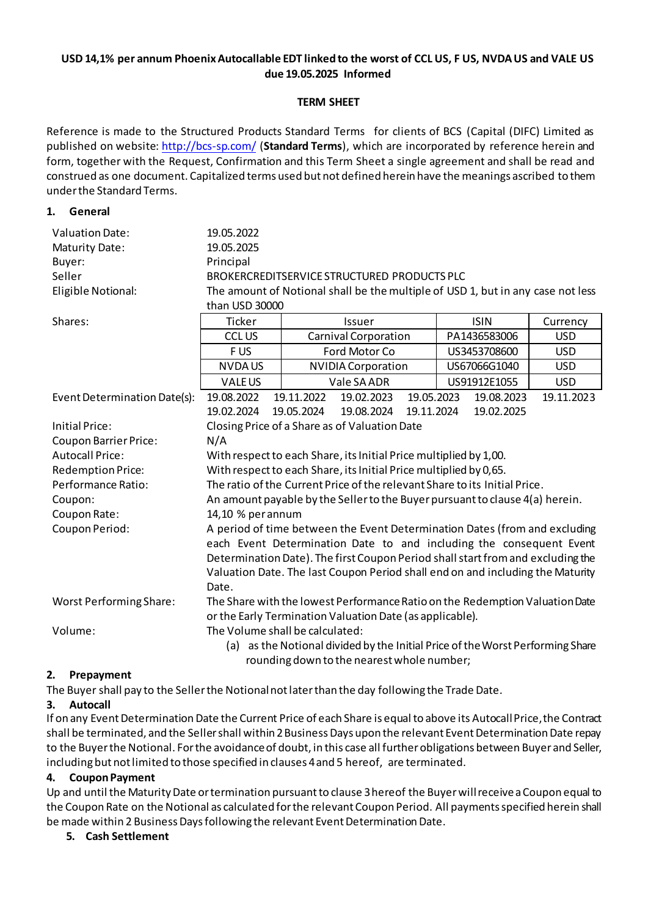# **USD 14,1% per annum Phoenix Autocallable EDT linked to the worst of CCL US, F US, NVDA US and VALE US due 19.05.2025 Informed**

## **TERM SHEET**

Reference is made to the Structured Products Standard Terms for clients of BCS (Capital (DIFC) Limited as published on website[: http://bcs-sp.com/](http://bcs-sp.com/) (**Standard Terms**), which are incorporated by reference herein and form, together with the Request, Confirmation and this Term Sheet a single agreement and shall be read and construed as one document. Capitalized terms used but not defined herein have the meanings ascribed to them under the Standard Terms.

#### **1. General**

| <b>Valuation Date:</b><br>Maturity Date:<br>Buyer:<br>Seller | 19.05.2022<br>19.05.2025<br>Principal                                                                                                                                                                                                                                                                                  |  |                                   |            |            |              |            |            |
|--------------------------------------------------------------|------------------------------------------------------------------------------------------------------------------------------------------------------------------------------------------------------------------------------------------------------------------------------------------------------------------------|--|-----------------------------------|------------|------------|--------------|------------|------------|
| Eligible Notional:                                           | BROKERCREDITSERVICE STRUCTURED PRODUCTS PLC<br>The amount of Notional shall be the multiple of USD 1, but in any case not less                                                                                                                                                                                         |  |                                   |            |            |              |            |            |
|                                                              | than USD 30000                                                                                                                                                                                                                                                                                                         |  |                                   |            |            |              |            |            |
| Shares:                                                      | <b>Ticker</b>                                                                                                                                                                                                                                                                                                          |  | <b>ISIN</b><br>Issuer<br>Currency |            |            |              |            |            |
|                                                              | <b>CCL US</b>                                                                                                                                                                                                                                                                                                          |  | Carnival Corporation              |            |            | PA1436583006 |            | <b>USD</b> |
|                                                              | F US                                                                                                                                                                                                                                                                                                                   |  | Ford Motor Co                     |            |            | US3453708600 |            | <b>USD</b> |
|                                                              | <b>NVDAUS</b>                                                                                                                                                                                                                                                                                                          |  | <b>NVIDIA Corporation</b>         |            |            | US67066G1040 |            | <b>USD</b> |
|                                                              | <b>VALEUS</b>                                                                                                                                                                                                                                                                                                          |  | Vale SA ADR                       |            |            | US91912E1055 |            | <b>USD</b> |
| Event Determination Date(s):                                 | 19.08.2022                                                                                                                                                                                                                                                                                                             |  | 19.11.2022                        | 19.02.2023 | 19.05.2023 |              | 19.08.2023 | 19.11.2023 |
|                                                              | 19.02.2024                                                                                                                                                                                                                                                                                                             |  | 19.05.2024                        | 19.08.2024 | 19.11.2024 |              | 19.02.2025 |            |
| Initial Price:                                               | Closing Price of a Share as of Valuation Date                                                                                                                                                                                                                                                                          |  |                                   |            |            |              |            |            |
| <b>Coupon Barrier Price:</b>                                 | N/A                                                                                                                                                                                                                                                                                                                    |  |                                   |            |            |              |            |            |
| <b>Autocall Price:</b>                                       | With respect to each Share, its Initial Price multiplied by 1,00.                                                                                                                                                                                                                                                      |  |                                   |            |            |              |            |            |
| <b>Redemption Price:</b>                                     | With respect to each Share, its Initial Price multiplied by 0,65.                                                                                                                                                                                                                                                      |  |                                   |            |            |              |            |            |
| Performance Ratio:                                           | The ratio of the Current Price of the relevant Share to its Initial Price.                                                                                                                                                                                                                                             |  |                                   |            |            |              |            |            |
| Coupon:                                                      | An amount payable by the Seller to the Buyer pursuant to clause 4(a) herein.                                                                                                                                                                                                                                           |  |                                   |            |            |              |            |            |
| Coupon Rate:                                                 | 14,10 % per annum                                                                                                                                                                                                                                                                                                      |  |                                   |            |            |              |            |            |
| Coupon Period:                                               | A period of time between the Event Determination Dates (from and excluding<br>each Event Determination Date to and including the consequent Event<br>Determination Date). The first Coupon Period shall start from and excluding the<br>Valuation Date. The last Coupon Period shall end on and including the Maturity |  |                                   |            |            |              |            |            |
|                                                              | Date.                                                                                                                                                                                                                                                                                                                  |  |                                   |            |            |              |            |            |
| <b>Worst Performing Share:</b>                               | The Share with the lowest Performance Ratio on the Redemption Valuation Date<br>or the Early Termination Valuation Date (as applicable).                                                                                                                                                                               |  |                                   |            |            |              |            |            |
| Volume:                                                      | The Volume shall be calculated:<br>(a) as the Notional divided by the Initial Price of the Worst Performing Share<br>rounding down to the nearest whole number;                                                                                                                                                        |  |                                   |            |            |              |            |            |

# **2. Prepayment**

The Buyer shall pay to the Seller the Notional not later than the day following the Trade Date.

# **3. Autocall**

If on any Event Determination Date the Current Price of each Share is equal to above its AutocallPrice, the Contract shall be terminated, and the Sellershall within 2Business Days upon the relevant Event Determination Date repay to the Buyerthe Notional. For the avoidance of doubt, in this case all further obligations between Buyer and Seller, including but not limited to those specified in clauses 4 and 5 hereof, are terminated.

# **4. Coupon Payment**

Up and until the Maturity Date or termination pursuant to clause 3 hereof the Buyerwill receive a Coupon equal to the Coupon Rate on the Notional as calculated for the relevant Coupon Period. All payments specified herein shall be made within 2 Business Days following the relevant Event Determination Date.

#### **5. Cash Settlement**